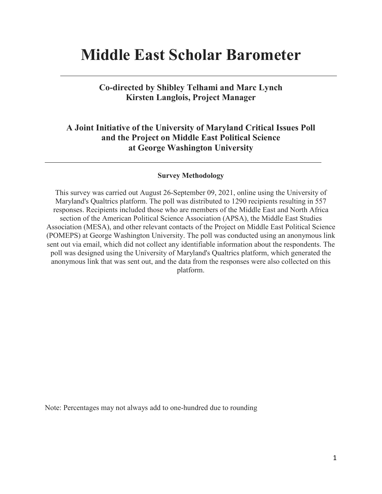# **Middle East Scholar Barometer**

**Co-directed by Shibley Telhami and Marc Lynch Kirsten Langlois, Project Manager** 

## **A Joint Initiative of the University of Maryland Critical Issues Poll and the Project on Middle East Political Science at George Washington University**

#### **Survey Methodology**

This survey was carried out August 26-September 09, 2021, online using the University of Maryland's Qualtrics platform. The poll was distributed to 1290 recipients resulting in 557 responses. Recipients included those who are members of the Middle East and North Africa section of the American Political Science Association (APSA), the Middle East Studies Association (MESA), and other relevant contacts of the Project on Middle East Political Science (POMEPS) at George Washington University. The poll was conducted using an anonymous link sent out via email, which did not collect any identifiable information about the respondents. The poll was designed using the University of Maryland's Qualtrics platform, which generated the anonymous link that was sent out, and the data from the responses were also collected on this platform.

Note: Percentages may not always add to one-hundred due to rounding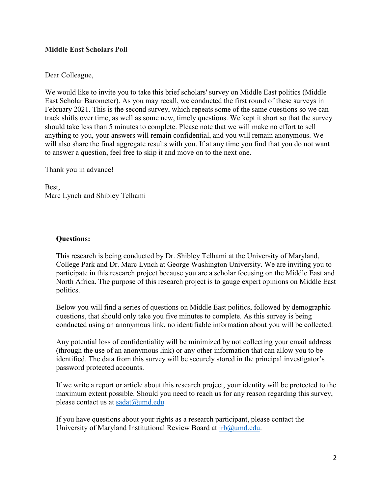## **Middle East Scholars Poll**

## Dear Colleague,

We would like to invite you to take this brief scholars' survey on Middle East politics (Middle East Scholar Barometer). As you may recall, we conducted the first round of these surveys in February 2021. This is the second survey, which repeats some of the same questions so we can track shifts over time, as well as some new, timely questions. We kept it short so that the survey should take less than 5 minutes to complete. Please note that we will make no effort to sell anything to you, your answers will remain confidential, and you will remain anonymous. We will also share the final aggregate results with you. If at any time you find that you do not want to answer a question, feel free to skip it and move on to the next one.

Thank you in advance!

Best, Marc Lynch and Shibley Telhami

## **Questions:**

This research is being conducted by Dr. Shibley Telhami at the University of Maryland, College Park and Dr. Marc Lynch at George Washington University. We are inviting you to participate in this research project because you are a scholar focusing on the Middle East and North Africa. The purpose of this research project is to gauge expert opinions on Middle East politics.

Below you will find a series of questions on Middle East politics, followed by demographic questions, that should only take you five minutes to complete. As this survey is being conducted using an anonymous link, no identifiable information about you will be collected.

Any potential loss of confidentiality will be minimized by not collecting your email address (through the use of an anonymous link) or any other information that can allow you to be identified. The data from this survey will be securely stored in the principal investigator's password protected accounts.

If we write a report or article about this research project, your identity will be protected to the maximum extent possible. Should you need to reach us for any reason regarding this survey, please contact us at [sadat@umd.edu](mailto:sadat@umd.edu)

If you have questions about your rights as a research participant, please contact the University of Maryland Institutional Review Board at [irb@umd.edu.](mailto:irb@umd.edu)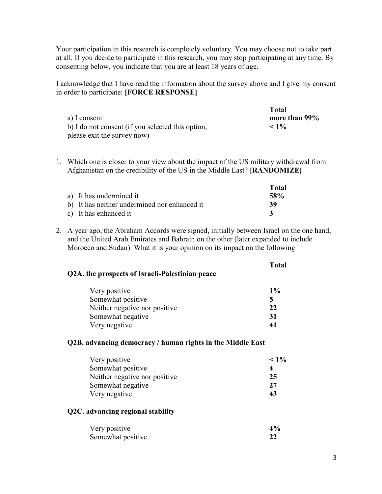Your participation in this research is completely voluntary. You may choose not to take part at all. If you decide to participate in this research, you may stop participating at any time. By consenting below, you indicate that you are at least 18 years of age.

I acknowledge that I have read the information about the survey above and I give my consent in order to participate: **[FORCE RESPONSE]**

|                                                   | Total         |
|---------------------------------------------------|---------------|
| a) I consent                                      | more than 99% |
| b) I do not consent (if you selected this option, | $< 1\%$       |
| please exit the survey now)                       |               |

1. Which one is closer to your view about the impact of the US military withdrawal from Afghanistan on the credibility of the US in the Middle East? **[RANDOMIZE]**

|                                              | Total      |
|----------------------------------------------|------------|
| a) It has undermined it                      | <b>58%</b> |
| b) It has neither undermined nor enhanced it | -39        |
| c) It has enhanced it                        |            |

2. A year ago, the Abraham Accords were signed, initially between Israel on the one hand, and the United Arab Emirates and Bahrain on the other (later expanded to include Morocco and Sudan). What it is your opinion on its impact on the following

**Total Q2A. the prospects of Israeli-Palestinian peace**

| Very positive                 | $1\%$ |
|-------------------------------|-------|
| Somewhat positive             |       |
| Neither negative nor positive | 22    |
| Somewhat negative             | -31   |
| Very negative                 |       |

#### **Q2B. advancing democracy / human rights in the Middle East**

| Very positive                 | $< 1\%$ |
|-------------------------------|---------|
| Somewhat positive             |         |
| Neither negative nor positive | 25      |
| Somewhat negative             | 27      |
| Very negative                 | 43      |

#### **Q2C. advancing regional stability**

| Very positive     | 4% |
|-------------------|----|
| Somewhat positive |    |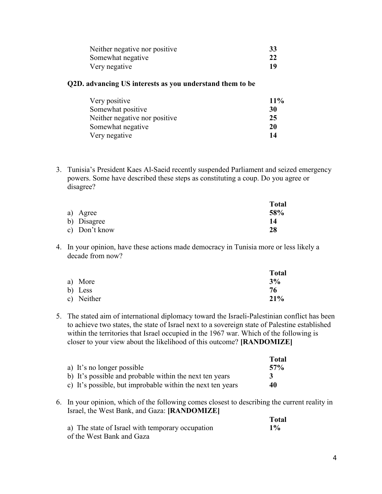| Neither negative nor positive | 33 |
|-------------------------------|----|
| Somewhat negative             | 22 |
| Very negative                 | 19 |

## **Q2D. advancing US interests as you understand them to be**

| Very positive                 | $11\%$ |
|-------------------------------|--------|
| Somewhat positive             | 30     |
| Neither negative nor positive | 25     |
| Somewhat negative             | 20     |
| Very negative                 | 14     |

3. Tunisia's President Kaes Al-Saeid recently suspended Parliament and seized emergency powers. Some have described these steps as constituting a coup. Do you agree or disagree?

|               | <b>Total</b> |
|---------------|--------------|
| a) Agree      | 58%          |
| b) Disagree   | 14           |
| c) Don't know | 28           |

4. In your opinion, have these actions made democracy in Tunisia more or less likely a decade from now?

|         |            | <b>Total</b> |
|---------|------------|--------------|
|         | a) More    | 3%           |
| b) Less |            | 76           |
|         | c) Neither | 21%          |

5. The stated aim of international diplomacy toward the Israeli-Palestinian conflict has been to achieve two states, the state of Israel next to a sovereign state of Palestine established within the territories that Israel occupied in the 1967 war. Which of the following is closer to your view about the likelihood of this outcome? **[RANDOMIZE]**

|                                                            | Total |
|------------------------------------------------------------|-------|
| a) It's no longer possible                                 | 57%   |
| b) It's possible and probable within the next ten years    | 3     |
| c) It's possible, but improbable within the next ten years | 40    |

6. In your opinion, which of the following comes closest to describing the current reality in Israel, the West Bank, and Gaza: **[RANDOMIZE]**

|                                                  | Total |
|--------------------------------------------------|-------|
| a) The state of Israel with temporary occupation | $1\%$ |
| of the West Bank and Gaza                        |       |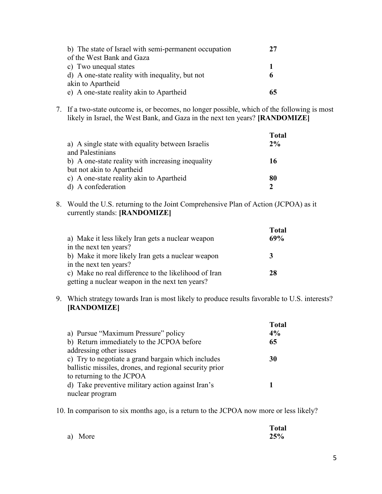| b) The state of Israel with semi-permanent occupation | 27 |
|-------------------------------------------------------|----|
| of the West Bank and Gaza                             |    |
| c) Two unequal states                                 |    |
| d) A one-state reality with inequality, but not       |    |
| akin to Apartheid                                     |    |
| e) A one-state reality akin to Apartheid              |    |

7. If a two-state outcome is, or becomes, no longer possible, which of the following is most likely in Israel, the West Bank, and Gaza in the next ten years? **[RANDOMIZE]**

| a) A single state with equality between Israelis  | <b>Total</b><br>$2\%$ |
|---------------------------------------------------|-----------------------|
| and Palestinians                                  |                       |
| b) A one-state reality with increasing inequality | 16                    |
| but not akin to Apartheid                         |                       |
| c) A one-state reality akin to Apartheid          | 80                    |
| d) A confederation                                |                       |

8. Would the U.S. returning to the Joint Comprehensive Plan of Action (JCPOA) as it currently stands: **[RANDOMIZE]**

|                                                      | <b>Total</b> |
|------------------------------------------------------|--------------|
| a) Make it less likely Iran gets a nuclear weapon    | 69%          |
| in the next ten years?                               |              |
| b) Make it more likely Iran gets a nuclear weapon    | 3            |
| in the next ten years?                               |              |
| c) Make no real difference to the likelihood of Iran | 28           |
| getting a nuclear weapon in the next ten years?      |              |

9. Which strategy towards Iran is most likely to produce results favorable to U.S. interests? **[RANDOMIZE]**

|                                                         | <b>Total</b> |
|---------------------------------------------------------|--------------|
| a) Pursue "Maximum Pressure" policy                     | 4%           |
| b) Return immediately to the JCPOA before               | 65           |
| addressing other issues                                 |              |
| c) Try to negotiate a grand bargain which includes      | 30           |
| ballistic missiles, drones, and regional security prior |              |
| to returning to the JCPOA                               |              |
| d) Take preventive military action against Iran's       |              |
| nuclear program                                         |              |

10. In comparison to six months ago, is a return to the JCPOA now more or less likely?

|         | <b>Total</b> |
|---------|--------------|
| a) More | 25%          |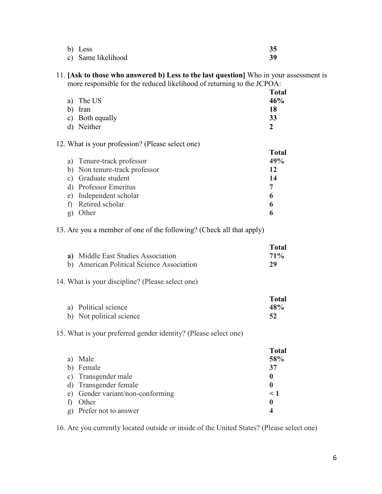| b) Less            |    |
|--------------------|----|
| c) Same likelihood | 39 |

## 11. **[Ask to those who answered b) Less to the last question]** Who in your assessment is more responsible for the reduced likelihood of returning to the JCPOA:

|                 | <b>Total</b> |
|-----------------|--------------|
| a) The US       | 46%          |
| b) Iran         | 18           |
| c) Both equally | 33           |
| d) Neither      |              |

#### 12. What is your profession? (Please select one)

|   |                               | <b>Total</b> |
|---|-------------------------------|--------------|
|   | a) Tenure-track professor     | 49%          |
|   | b) Non tenure-track professor | 12           |
|   | c) Graduate student           | 14           |
|   | d) Professor Emeritus         |              |
|   | e) Independent scholar        | 6            |
| f | Retired scholar               | 6            |
|   | Other                         |              |

## 13. Are you a member of one of the following? (Check all that apply)

|                                           | Total  |
|-------------------------------------------|--------|
| a) Middle East Studies Association        | $71\%$ |
| b) American Political Science Association | 29     |

#### 14. What is your discipline? (Please select one)

|                          | <b>Total</b> |
|--------------------------|--------------|
| a) Political science     | 48%          |
| b) Not political science |              |

## 15. What is your preferred gender identity? (Please select one)

|    |                                  | <b>Total</b> |
|----|----------------------------------|--------------|
|    | a) Male                          | 58%          |
|    | b) Female                        | 37           |
|    | c) Transgender male              | 0            |
|    | d) Transgender female            | 0            |
|    | e) Gender variant/non-conforming | < 1          |
| f) | Other                            | 0            |
|    | g) Prefer not to answer          |              |

16. Are you currently located outside or inside of the United States? (Please select one)